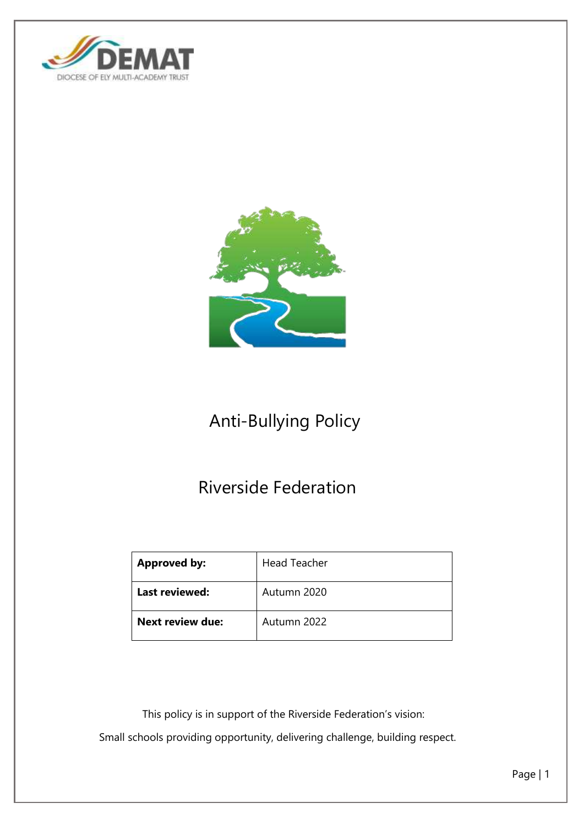



# Anti-Bullying Policy

# Riverside Federation

| <b>Approved by:</b>     | <b>Head Teacher</b> |
|-------------------------|---------------------|
| Last reviewed:          | Autumn 2020         |
| <b>Next review due:</b> | Autumn 2022         |

 This policy is in support of the Riverside Federation's vision: Small schools providing opportunity, delivering challenge, building respect.

Page | 1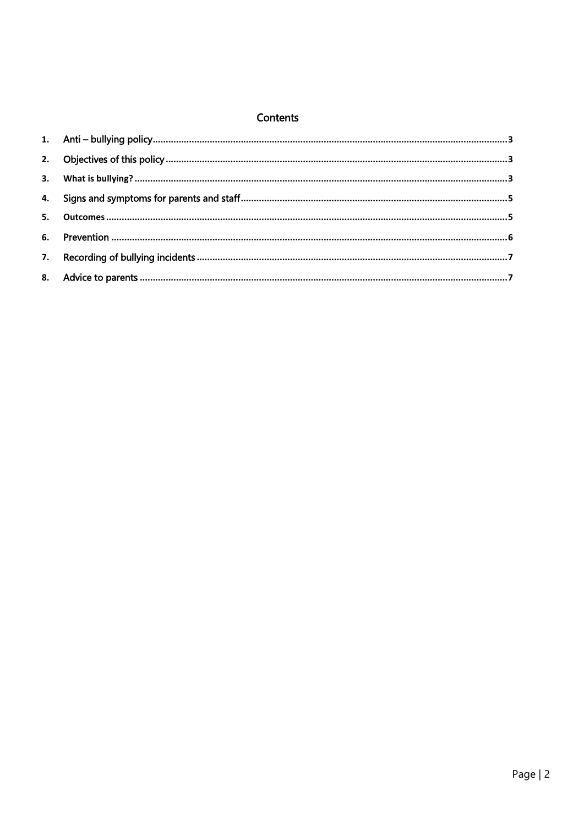#### Contents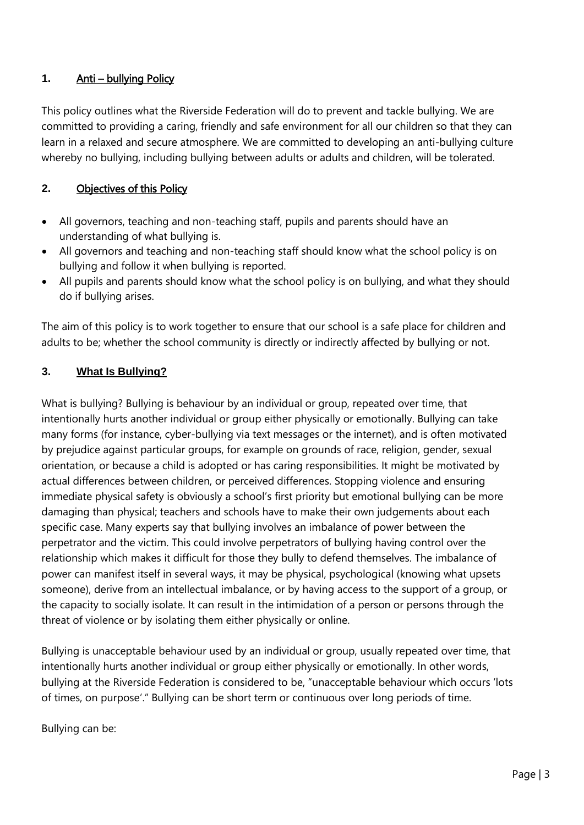## <span id="page-2-0"></span>**1.** Anti – bullying Policy

This policy outlines what the Riverside Federation will do to prevent and tackle bullying. We are committed to providing a caring, friendly and safe environment for all our children so that they can learn in a relaxed and secure atmosphere. We are committed to developing an anti-bullying culture whereby no bullying, including bullying between adults or adults and children, will be tolerated.

#### <span id="page-2-1"></span>**2.** Objectives of this Policy

- All governors, teaching and non-teaching staff, pupils and parents should have an understanding of what bullying is.
- All governors and teaching and non-teaching staff should know what the school policy is on bullying and follow it when bullying is reported.
- All pupils and parents should know what the school policy is on bullying, and what they should do if bullying arises.

The aim of this policy is to work together to ensure that our school is a safe place for children and adults to be; whether the school community is directly or indirectly affected by bullying or not.

#### <span id="page-2-2"></span>**3. What Is Bullying?**

What is bullying? Bullying is behaviour by an individual or group, repeated over time, that intentionally hurts another individual or group either physically or emotionally. Bullying can take many forms (for instance, cyber-bullying via text messages or the internet), and is often motivated by prejudice against particular groups, for example on grounds of race, religion, gender, sexual orientation, or because a child is adopted or has caring responsibilities. It might be motivated by actual differences between children, or perceived differences. Stopping violence and ensuring immediate physical safety is obviously a school's first priority but emotional bullying can be more damaging than physical; teachers and schools have to make their own judgements about each specific case. Many experts say that bullying involves an imbalance of power between the perpetrator and the victim. This could involve perpetrators of bullying having control over the relationship which makes it difficult for those they bully to defend themselves. The imbalance of power can manifest itself in several ways, it may be physical, psychological (knowing what upsets someone), derive from an intellectual imbalance, or by having access to the support of a group, or the capacity to socially isolate. It can result in the intimidation of a person or persons through the threat of violence or by isolating them either physically or online.

Bullying is unacceptable behaviour used by an individual or group, usually repeated over time, that intentionally hurts another individual or group either physically or emotionally. In other words, bullying at the Riverside Federation is considered to be, "unacceptable behaviour which occurs 'lots of times, on purpose'." Bullying can be short term or continuous over long periods of time.

Bullying can be: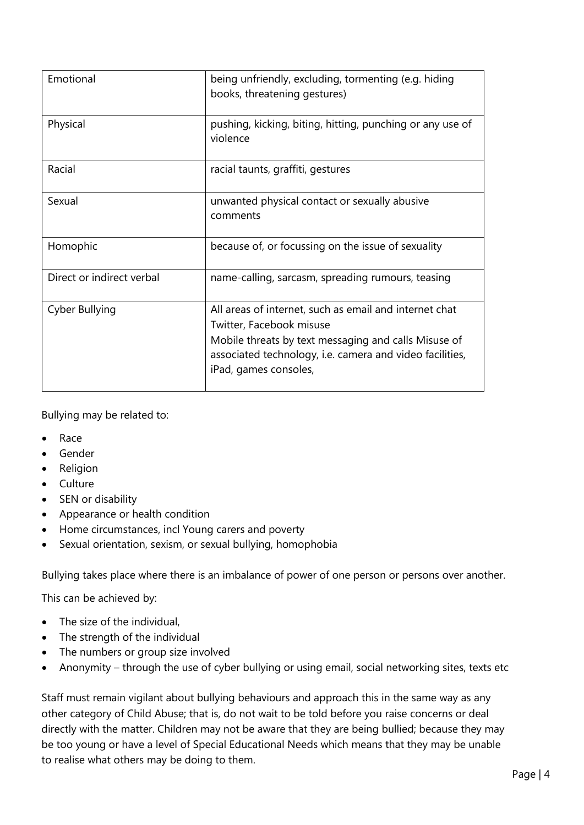| Emotional                 | being unfriendly, excluding, tormenting (e.g. hiding<br>books, threatening gestures)                                                                                                                                            |
|---------------------------|---------------------------------------------------------------------------------------------------------------------------------------------------------------------------------------------------------------------------------|
| Physical                  | pushing, kicking, biting, hitting, punching or any use of<br>violence                                                                                                                                                           |
| Racial                    | racial taunts, graffiti, gestures                                                                                                                                                                                               |
| Sexual                    | unwanted physical contact or sexually abusive<br>comments                                                                                                                                                                       |
| Homophic                  | because of, or focussing on the issue of sexuality                                                                                                                                                                              |
| Direct or indirect verbal | name-calling, sarcasm, spreading rumours, teasing                                                                                                                                                                               |
| Cyber Bullying            | All areas of internet, such as email and internet chat<br>Twitter, Facebook misuse<br>Mobile threats by text messaging and calls Misuse of<br>associated technology, i.e. camera and video facilities,<br>iPad, games consoles, |

Bullying may be related to:

- Race
- Gender
- Religion
- Culture
- SEN or disability
- Appearance or health condition
- Home circumstances, incl Young carers and poverty
- Sexual orientation, sexism, or sexual bullying, homophobia

Bullying takes place where there is an imbalance of power of one person or persons over another.

This can be achieved by:

- The size of the individual,
- The strength of the individual
- The numbers or group size involved
- Anonymity through the use of cyber bullying or using email, social networking sites, texts etc

Staff must remain vigilant about bullying behaviours and approach this in the same way as any other category of Child Abuse; that is, do not wait to be told before you raise concerns or deal directly with the matter. Children may not be aware that they are being bullied; because they may be too young or have a level of Special Educational Needs which means that they may be unable to realise what others may be doing to them.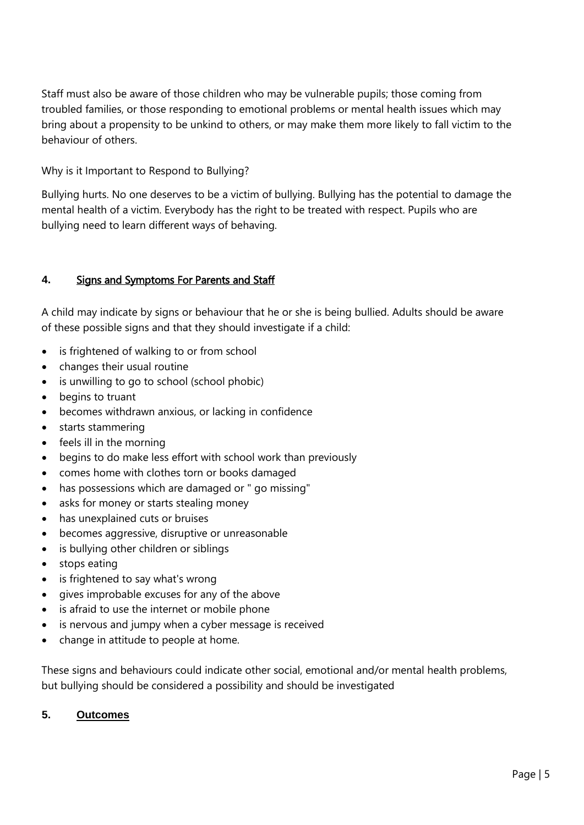Staff must also be aware of those children who may be vulnerable pupils; those coming from troubled families, or those responding to emotional problems or mental health issues which may bring about a propensity to be unkind to others, or may make them more likely to fall victim to the behaviour of others.

## Why is it Important to Respond to Bullying?

Bullying hurts. No one deserves to be a victim of bullying. Bullying has the potential to damage the mental health of a victim. Everybody has the right to be treated with respect. Pupils who are bullying need to learn different ways of behaving.

## <span id="page-4-0"></span>**4.** Signs and Symptoms For Parents and Staff

A child may indicate by signs or behaviour that he or she is being bullied. Adults should be aware of these possible signs and that they should investigate if a child:

- is frightened of walking to or from school
- changes their usual routine
- is unwilling to go to school (school phobic)
- begins to truant
- becomes withdrawn anxious, or lacking in confidence
- starts stammering
- $\bullet$  feels ill in the morning
- begins to do make less effort with school work than previously
- comes home with clothes torn or books damaged
- has possessions which are damaged or " go missing"
- asks for money or starts stealing money
- has unexplained cuts or bruises
- becomes aggressive, disruptive or unreasonable
- is bullying other children or siblings
- stops eating
- is frightened to say what's wrong
- gives improbable excuses for any of the above
- is afraid to use the internet or mobile phone
- is nervous and jumpy when a cyber message is received
- change in attitude to people at home.

These signs and behaviours could indicate other social, emotional and/or mental health problems, but bullying should be considered a possibility and should be investigated

#### <span id="page-4-1"></span>**5. Outcomes**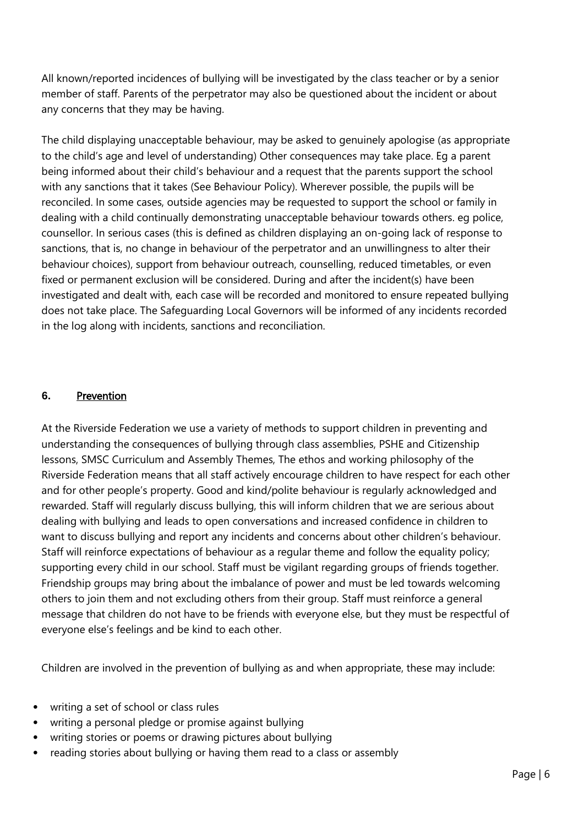All known/reported incidences of bullying will be investigated by the class teacher or by a senior member of staff. Parents of the perpetrator may also be questioned about the incident or about any concerns that they may be having.

The child displaying unacceptable behaviour, may be asked to genuinely apologise (as appropriate to the child's age and level of understanding) Other consequences may take place. Eg a parent being informed about their child's behaviour and a request that the parents support the school with any sanctions that it takes (See Behaviour Policy). Wherever possible, the pupils will be reconciled. In some cases, outside agencies may be requested to support the school or family in dealing with a child continually demonstrating unacceptable behaviour towards others. eg police, counsellor. In serious cases (this is defined as children displaying an on-going lack of response to sanctions, that is, no change in behaviour of the perpetrator and an unwillingness to alter their behaviour choices), support from behaviour outreach, counselling, reduced timetables, or even fixed or permanent exclusion will be considered. During and after the incident(s) have been investigated and dealt with, each case will be recorded and monitored to ensure repeated bullying does not take place. The Safeguarding Local Governors will be informed of any incidents recorded in the log along with incidents, sanctions and reconciliation.

#### <span id="page-5-0"></span>**6.** Prevention

At the Riverside Federation we use a variety of methods to support children in preventing and understanding the consequences of bullying through class assemblies, PSHE and Citizenship lessons, SMSC Curriculum and Assembly Themes, The ethos and working philosophy of the Riverside Federation means that all staff actively encourage children to have respect for each other and for other people's property. Good and kind/polite behaviour is regularly acknowledged and rewarded. Staff will regularly discuss bullying, this will inform children that we are serious about dealing with bullying and leads to open conversations and increased confidence in children to want to discuss bullying and report any incidents and concerns about other children's behaviour. Staff will reinforce expectations of behaviour as a regular theme and follow the equality policy; supporting every child in our school. Staff must be vigilant regarding groups of friends together. Friendship groups may bring about the imbalance of power and must be led towards welcoming others to join them and not excluding others from their group. Staff must reinforce a general message that children do not have to be friends with everyone else, but they must be respectful of everyone else's feelings and be kind to each other.

Children are involved in the prevention of bullying as and when appropriate, these may include:

- writing a set of school or class rules
- writing a personal pledge or promise against bullying
- writing stories or poems or drawing pictures about bullying
- reading stories about bullying or having them read to a class or assembly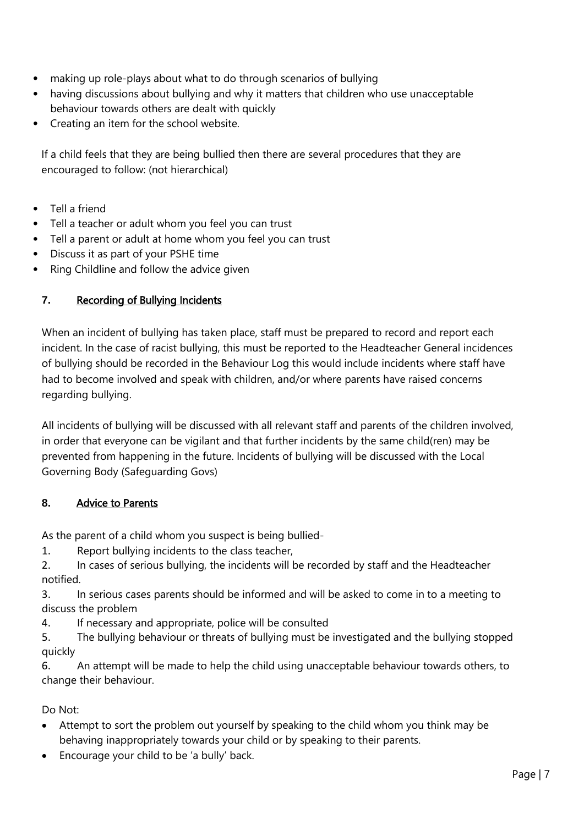- making up role-plays about what to do through scenarios of bullying
- having discussions about bullying and why it matters that children who use unacceptable behaviour towards others are dealt with quickly
- Creating an item for the school website.

If a child feels that they are being bullied then there are several procedures that they are encouraged to follow: (not hierarchical)

- Tell a friend
- Tell a teacher or adult whom you feel you can trust
- Tell a parent or adult at home whom you feel you can trust
- Discuss it as part of your PSHE time
- Ring Childline and follow the advice given

## <span id="page-6-0"></span>**7.** Recording of Bullying Incidents

When an incident of bullying has taken place, staff must be prepared to record and report each incident. In the case of racist bullying, this must be reported to the Headteacher General incidences of bullying should be recorded in the Behaviour Log this would include incidents where staff have had to become involved and speak with children, and/or where parents have raised concerns regarding bullying.

All incidents of bullying will be discussed with all relevant staff and parents of the children involved, in order that everyone can be vigilant and that further incidents by the same child(ren) may be prevented from happening in the future. Incidents of bullying will be discussed with the Local Governing Body (Safeguarding Govs)

## <span id="page-6-1"></span>**8.** Advice to Parents

As the parent of a child whom you suspect is being bullied-

- 1. Report bullying incidents to the class teacher,
- 2. In cases of serious bullying, the incidents will be recorded by staff and the Headteacher notified.
- 3. In serious cases parents should be informed and will be asked to come in to a meeting to discuss the problem
- 4. If necessary and appropriate, police will be consulted
- 5. The bullying behaviour or threats of bullying must be investigated and the bullying stopped quickly
- 6. An attempt will be made to help the child using unacceptable behaviour towards others, to change their behaviour.

Do Not:

- Attempt to sort the problem out yourself by speaking to the child whom you think may be behaving inappropriately towards your child or by speaking to their parents.
- Encourage your child to be 'a bully' back.